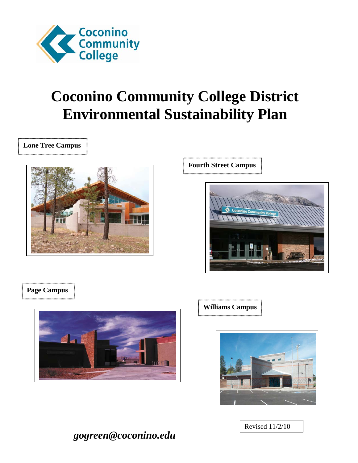

# **Coconino Community College District Environmental Sustainability Plan**

**Lone Tree Campus**



**Fourth Street Campus**



### **Page Campus**



**Williams Campus**



Revised 11/2/10

*gogreen@coconino.edu*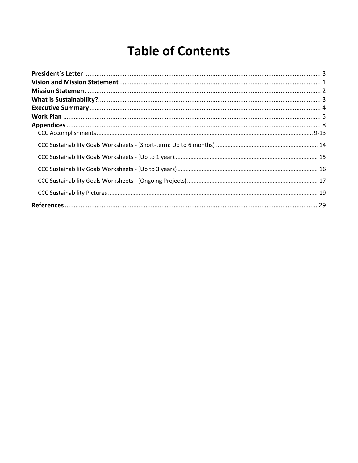# **Table of Contents**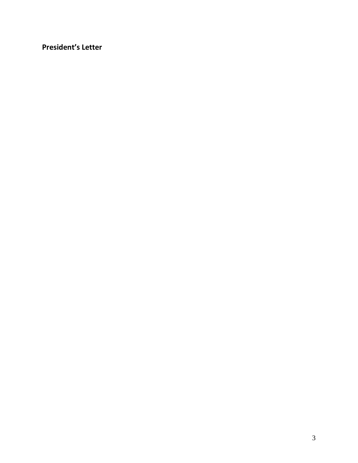<span id="page-2-0"></span>**President's Letter**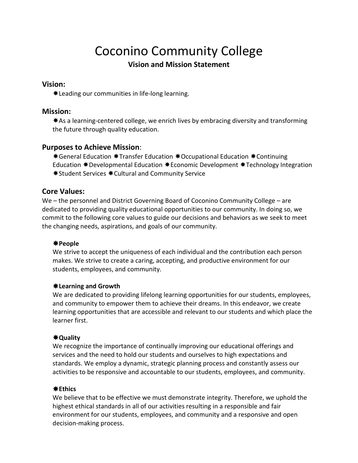# Coconino Community College

### **Vision and Mission Statement**

#### <span id="page-3-0"></span>**Vision:**

Leading our communities in life-long learning.

#### **Mission:**

\* As a learning-centered college, we enrich lives by embracing diversity and transforming the future through quality education.

#### **Purposes to Achieve Mission**:

\*General Education \*Transfer Education \*Occupational Education \*Continuing Education  $*$  Developmental Education  $*$  Economic Development  $*$  Technology Integration  $*$  **Student Services**  $*$  **Cultural and Community Service** 

#### **Core Values:**

We – the personnel and District Governing Board of Coconino Community College – are dedicated to providing quality educational opportunities to our community. In doing so, we commit to the following core values to guide our decisions and behaviors as we seek to meet the changing needs, aspirations, and goals of our community.

#### **People**

We strive to accept the uniqueness of each individual and the contribution each person makes. We strive to create a caring, accepting, and productive environment for our students, employees, and community.

#### **Learning and Growth**

We are dedicated to providing lifelong learning opportunities for our students, employees, and community to empower them to achieve their dreams. In this endeavor, we create learning opportunities that are accessible and relevant to our students and which place the learner first.

#### **Quality**

We recognize the importance of continually improving our educational offerings and services and the need to hold our students and ourselves to high expectations and standards. We employ a dynamic, strategic planning process and constantly assess our activities to be responsive and accountable to our students, employees, and community.

#### **Ethics**

We believe that to be effective we must demonstrate integrity. Therefore, we uphold the highest ethical standards in all of our activities resulting in a responsible and fair environment for our students, employees, and community and a responsive and open decision-making process.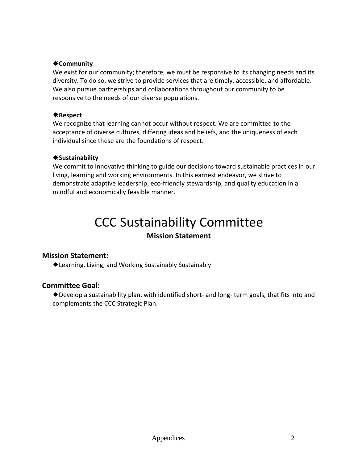#### **Community**

We exist for our community; therefore, we must be responsive to its changing needs and its diversity. To do so, we strive to provide services that are timely, accessible, and affordable. We also pursue partnerships and collaborations throughout our community to be responsive to the needs of our diverse populations.

#### **Respect**

We recognize that learning cannot occur without respect. We are committed to the acceptance of diverse cultures, differing ideas and beliefs, and the uniqueness of each individual since these are the foundations of respect.

#### **Sustainability**

We commit to innovative thinking to guide our decisions toward sustainable practices in our living, learning and working environments. In this earnest endeavor, we strive to demonstrate adaptive leadership, eco-friendly stewardship, and quality education in a mindful and economically feasible manner.

# CCC Sustainability Committee

### **Mission Statement**

#### <span id="page-4-0"></span>**Mission Statement:**

Learning, Living, and Working Sustainably Sustainably

#### **Committee Goal:**

 $*$  Develop a sustainability plan, with identified short- and long- term goals, that fits into and complements the CCC Strategic Plan.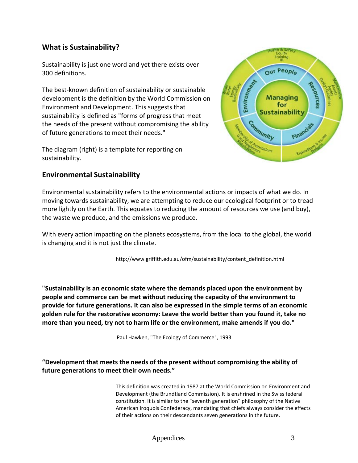### <span id="page-5-0"></span>**What is Sustainability?**

Sustainability is just one word and yet there exists over 300 definitions.

The best-known definition of sustainability or sustainable development is the definition by the World Commission on Environment and Development. This suggests that sustainability is defined as "forms of progress that meet the needs of the present without compromising the ability of future generations to meet their needs."

The diagram (right) is a template for reporting on sustainability.



#### **Environmental Sustainability**

Environmental sustainability refers to the environmental actions or impacts of what we do. In moving towards sustainability, we are attempting to reduce our ecological footprint or to tread more lightly on the Earth. This equates to reducing the amount of resources we use (and buy), the waste we produce, and the emissions we produce.

With every action impacting on the planets ecosystems, from the local to the global, the world is changing and it is not just the climate.

[http://www.griffith.edu.au/ofm/sustainability/content\\_definition.html](http://www.griffith.edu.au/ofm/sustainability/content_definition.html)

**"Sustainability is an economic state where the demands placed upon the environment by people and commerce can be met without reducing the capacity of the environment to provide for future generations. It can also be expressed in the simple terms of an economic golden rule for the restorative economy: Leave the world better than you found it, take no more than you need, try not to harm life or the environment, make amends if you do."**

Paul Hawken, "The Ecology of Commerce", 1993

**"Development that meets the needs of the present without compromising the ability of future generations to meet their own needs."**

> This definition was created in 1987 at the World Commission on Environment and Development (the Brundtland Commission). It is enshrined in the Swiss federal constitution. It is similar to the "seventh generation" philosophy of the Native American Iroquois Confederacy, mandating that chiefs always consider the effects of their actions on their descendants seven generations in the future.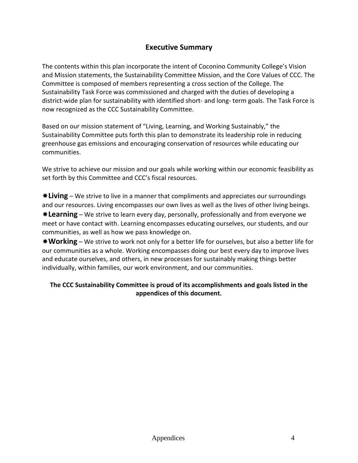### **Executive Summary**

<span id="page-6-0"></span>The contents within this plan incorporate the intent of Coconino Community College's Vision and Mission statements, the Sustainability Committee Mission, and the Core Values of CCC. The Committee is composed of members representing a cross section of the College. The Sustainability Task Force was commissioned and charged with the duties of developing a district-wide plan for sustainability with identified short- and long- term goals. The Task Force is now recognized as the CCC Sustainability Committee.

Based on our mission statement of "Living, Learning, and Working Sustainably," the Sustainability Committee puts forth this plan to demonstrate its leadership role in reducing greenhouse gas emissions and encouraging conservation of resources while educating our communities.

We strive to achieve our mission and our goals while working within our economic feasibility as set forth by this Committee and CCC's fiscal resources.

**Living** – We strive to live in a manner that compliments and appreciates our surroundings and our resources. Living encompasses our own lives as well as the lives of other living beings.

**Learning** – We strive to learn every day, personally, professionally and from everyone we meet or have contact with. Learning encompasses educating ourselves, our students, and our communities, as well as how we pass knowledge on.

**Working** – We strive to work not only for a better life for ourselves, but also a better life for our communities as a whole. Working encompasses doing our best every day to improve lives and educate ourselves, and others, in new processes for sustainably making things better individually, within families, our work environment, and our communities.

#### **The CCC Sustainability Committee is proud of its accomplishments and goals listed in the appendices of this document.**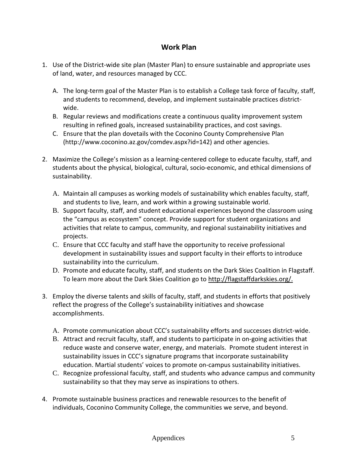#### **Work Plan**

- <span id="page-7-0"></span>1. Use of the District-wide site plan (Master Plan) to ensure sustainable and appropriate uses of land, water, and resources managed by CCC.
	- A. The long-term goal of the Master Plan is to establish a College task force of faculty, staff, and students to recommend, develop, and implement sustainable practices districtwide.
	- B. Regular reviews and modifications create a continuous quality improvement system resulting in refined goals, increased sustainability practices, and cost savings.
	- C. Ensure that the plan dovetails with the Coconino County Comprehensive Plan (http://www.coconino.az.gov/comdev.aspx?id=142) and other agencies.
- 2. Maximize the College's mission as a learning-centered college to educate faculty, staff, and students about the physical, biological, cultural, socio-economic, and ethical dimensions of sustainability.
	- A. Maintain all campuses as working models of sustainability which enables faculty, staff, and students to live, learn, and work within a growing sustainable world.
	- B. Support faculty, staff, and student educational experiences beyond the classroom using the "campus as ecosystem" concept. Provide support for student organizations and activities that relate to campus, community, and regional sustainability initiatives and projects.
	- C. Ensure that CCC faculty and staff have the opportunity to receive professional development in sustainability issues and support faculty in their efforts to introduce sustainability into the curriculum.
	- D. Promote and educate faculty, staff, and students on the Dark Skies Coalition in Flagstaff. To learn more about the Dark Skies Coalition go to [http://flagstaffdarkskies.org/.](http://flagstaffdarkskies.org/)
- 3. Employ the diverse talents and skills of faculty, staff, and students in efforts that positively reflect the progress of the College's sustainability initiatives and showcase accomplishments.
	- A. Promote communication about CCC's sustainability efforts and successes district-wide.
	- B. Attract and recruit faculty, staff, and students to participate in on-going activities that reduce waste and conserve water, energy, and materials. Promote student interest in sustainability issues in CCC's signature programs that incorporate sustainability education. Martial students' voices to promote on-campus sustainability initiatives.
	- C. Recognize professional faculty, staff, and students who advance campus and community sustainability so that they may serve as inspirations to others.
- 4. Promote sustainable business practices and renewable resources to the benefit of individuals, Coconino Community College, the communities we serve, and beyond.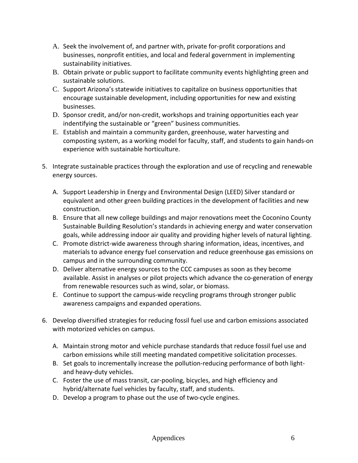- A. Seek the involvement of, and partner with, private for-profit corporations and businesses, nonprofit entities, and local and federal government in implementing sustainability initiatives.
- B. Obtain private or public support to facilitate community events highlighting green and sustainable solutions.
- C. Support Arizona's statewide initiatives to capitalize on business opportunities that encourage sustainable development, including opportunities for new and existing businesses.
- D. Sponsor credit, and/or non-credit, workshops and training opportunities each year indentifying the sustainable or "green" business communities.
- E. Establish and maintain a community garden, greenhouse, water harvesting and composting system, as a working model for faculty, staff, and students to gain hands-on experience with sustainable horticulture.
- 5. Integrate sustainable practices through the exploration and use of recycling and renewable energy sources.
	- A. Support Leadership in Energy and Environmental Design (LEED) Silver standard or equivalent and other green building practices in the development of facilities and new construction.
	- B. Ensure that all new college buildings and major renovations meet the Coconino County Sustainable Building Resolution's standards in achieving energy and water conservation goals, while addressing indoor air quality and providing higher levels of natural lighting.
	- C. Promote district-wide awareness through sharing information, ideas, incentives, and materials to advance energy fuel conservation and reduce greenhouse gas emissions on campus and in the surrounding community.
	- D. Deliver alternative energy sources to the CCC campuses as soon as they become available. Assist in analyses or pilot projects which advance the co-generation of energy from renewable resources such as wind, solar, or biomass.
	- E. Continue to support the campus-wide recycling programs through stronger public awareness campaigns and expanded operations.
- 6. Develop diversified strategies for reducing fossil fuel use and carbon emissions associated with motorized vehicles on campus.
	- A. Maintain strong motor and vehicle purchase standards that reduce fossil fuel use and carbon emissions while still meeting mandated competitive solicitation processes.
	- B. Set goals to incrementally increase the pollution-reducing performance of both lightand heavy-duty vehicles.
	- C. Foster the use of mass transit, car-pooling, bicycles, and high efficiency and hybrid/alternate fuel vehicles by faculty, staff, and students.
	- D. Develop a program to phase out the use of two-cycle engines.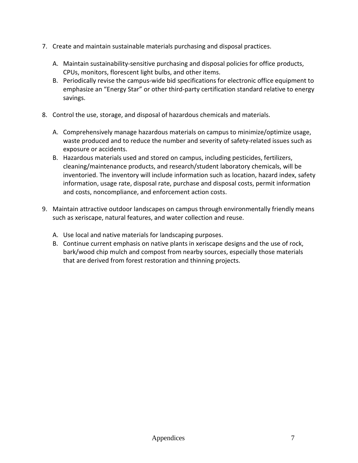- 7. Create and maintain sustainable materials purchasing and disposal practices.
	- A. Maintain sustainability-sensitive purchasing and disposal policies for office products, CPUs, monitors, florescent light bulbs, and other items.
	- B. Periodically revise the campus-wide bid specifications for electronic office equipment to emphasize an "Energy Star" or other third-party certification standard relative to energy savings.
- 8. Control the use, storage, and disposal of hazardous chemicals and materials.
	- A. Comprehensively manage hazardous materials on campus to minimize/optimize usage, waste produced and to reduce the number and severity of safety-related issues such as exposure or accidents.
	- B. Hazardous materials used and stored on campus, including pesticides, fertilizers, cleaning/maintenance products, and research/student laboratory chemicals, will be inventoried. The inventory will include information such as location, hazard index, safety information, usage rate, disposal rate, purchase and disposal costs, permit information and costs, noncompliance, and enforcement action costs.
- 9. Maintain attractive outdoor landscapes on campus through environmentally friendly means such as xeriscape, natural features, and water collection and reuse.
	- A. Use local and native materials for landscaping purposes.
	- B. Continue current emphasis on native plants in xeriscape designs and the use of rock, bark/wood chip mulch and compost from nearby sources, especially those materials that are derived from forest restoration and thinning projects.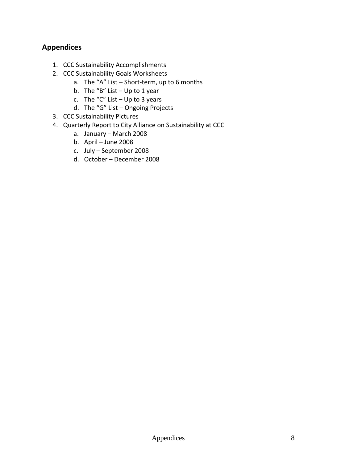### <span id="page-10-0"></span>**Appendices**

- 1. CCC Sustainability Accomplishments
- 2. CCC Sustainability Goals Worksheets
	- a. The "A" List Short-term, up to 6 months
	- b. The "B" List  $-$  Up to 1 year
	- c. The "C" List  $-$  Up to 3 years
	- d. The "G" List Ongoing Projects
- 3. CCC Sustainability Pictures
- 4. Quarterly Report to City Alliance on Sustainability at CCC
	- a. January March 2008
	- b. April June 2008
	- c. July September 2008
	- d. October December 2008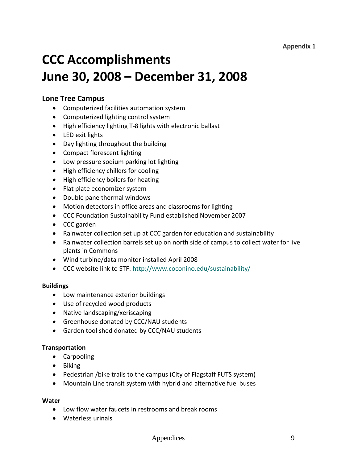#### **Appendix 1**

# <span id="page-11-0"></span>**CCC Accomplishments June 30, 2008 – December 31, 2008**

#### **Lone Tree Campus**

- Computerized facilities automation system
- Computerized lighting control system
- High efficiency lighting T-8 lights with electronic ballast
- LED exit lights
- Day lighting throughout the building
- Compact florescent lighting
- Low pressure sodium parking lot lighting
- High efficiency chillers for cooling
- High efficiency boilers for heating
- Flat plate economizer system
- Double pane thermal windows
- Motion detectors in office areas and classrooms for lighting
- CCC Foundation Sustainability Fund established November 2007
- CCC garden
- Rainwater collection set up at CCC garden for education and sustainability
- Rainwater collection barrels set up on north side of campus to collect water for live plants in Commons
- Wind turbine/data monitor installed April 2008
- CCC website link to STF: <http://www.coconino.edu/sustainability/>

#### **Buildings**

- Low maintenance exterior buildings
- Use of recycled wood products
- Native landscaping/xeriscaping
- Greenhouse donated by CCC/NAU students
- Garden tool shed donated by CCC/NAU students

#### **Transportation**

- Carpooling
- Biking
- Pedestrian /bike trails to the campus (City of Flagstaff FUTS system)
- Mountain Line transit system with hybrid and alternative fuel buses

#### **Water**

- Low flow water faucets in restrooms and break rooms
- Waterless urinals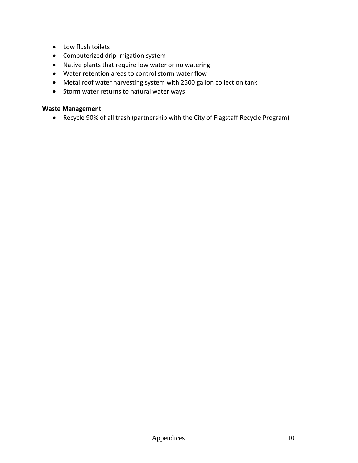- Low flush toilets
- Computerized drip irrigation system
- Native plants that require low water or no watering
- Water retention areas to control storm water flow
- Metal roof water harvesting system with 2500 gallon collection tank
- Storm water returns to natural water ways

#### **Waste Management**

• Recycle 90% of all trash (partnership with the City of Flagstaff Recycle Program)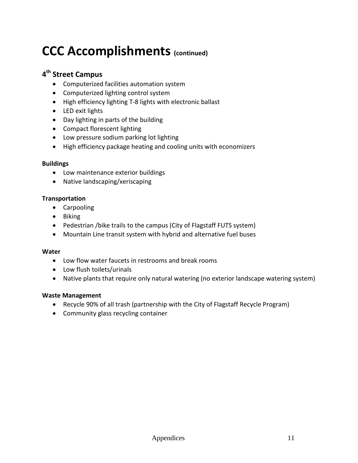# **CCC Accomplishments (continued)**

## **4th Street Campus**

- Computerized facilities automation system
- Computerized lighting control system
- High efficiency lighting T-8 lights with electronic ballast
- LED exit lights
- Day lighting in parts of the building
- Compact florescent lighting
- Low pressure sodium parking lot lighting
- High efficiency package heating and cooling units with economizers

#### **Buildings**

- Low maintenance exterior buildings
- Native landscaping/xeriscaping

#### **Transportation**

- Carpooling
- Biking
- Pedestrian /bike trails to the campus (City of Flagstaff FUTS system)
- Mountain Line transit system with hybrid and alternative fuel buses

#### **Water**

- Low flow water faucets in restrooms and break rooms
- Low flush toilets/urinals
- Native plants that require only natural watering (no exterior landscape watering system)

#### **Waste Management**

- Recycle 90% of all trash (partnership with the City of Flagstaff Recycle Program)
- Community glass recycling container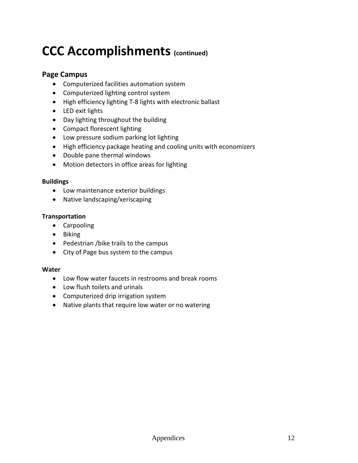# **CCC Accomplishments (continued)**

### **Page Campus**

- Computerized facilities automation system
- Computerized lighting control system
- High efficiency lighting T-8 lights with electronic ballast
- LED exit lights
- Day lighting throughout the building
- Compact florescent lighting
- Low pressure sodium parking lot lighting
- High efficiency package heating and cooling units with economizers
- Double pane thermal windows
- Motion detectors in office areas for lighting

#### **Buildings**

- Low maintenance exterior buildings
- Native landscaping/xeriscaping

#### **Transportation**

- Carpooling
- Biking
- Pedestrian /bike trails to the campus
- City of Page bus system to the campus

#### **Water**

- Low flow water faucets in restrooms and break rooms
- Low flush toilets and urinals
- Computerized drip irrigation system
- Native plants that require low water or no watering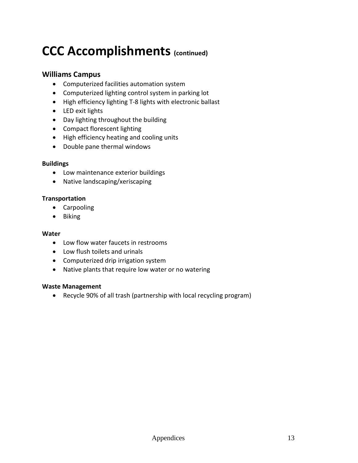# **CCC Accomplishments (continued)**

#### **Williams Campus**

- Computerized facilities automation system
- Computerized lighting control system in parking lot
- High efficiency lighting T-8 lights with electronic ballast
- LED exit lights
- Day lighting throughout the building
- Compact florescent lighting
- High efficiency heating and cooling units
- Double pane thermal windows

#### **Buildings**

- Low maintenance exterior buildings
- Native landscaping/xeriscaping

#### **Transportation**

- Carpooling
- Biking

#### **Water**

- Low flow water faucets in restrooms
- Low flush toilets and urinals
- Computerized drip irrigation system
- Native plants that require low water or no watering

#### **Waste Management**

• Recycle 90% of all trash (partnership with local recycling program)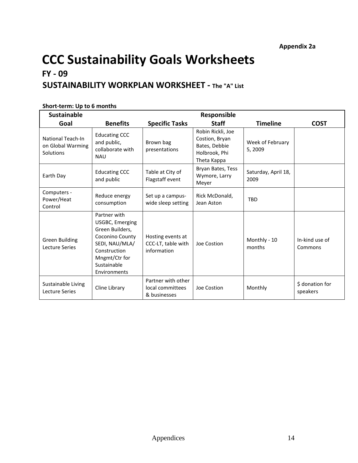### <span id="page-16-0"></span>**SUSTAINABILITY WORKPLAN WORKSHEET - The "A" List**

| <b>Sustainable</b>                                  | <b>Responsible</b>                                                                                                                                             |                                                        |                                                                                      |                             |                             |  |
|-----------------------------------------------------|----------------------------------------------------------------------------------------------------------------------------------------------------------------|--------------------------------------------------------|--------------------------------------------------------------------------------------|-----------------------------|-----------------------------|--|
| Goal                                                | <b>Benefits</b>                                                                                                                                                | <b>Specific Tasks</b>                                  | <b>Staff</b>                                                                         | <b>Timeline</b>             | <b>COST</b>                 |  |
| National Teach-In<br>on Global Warming<br>Solutions | <b>Educating CCC</b><br>and public,<br>collaborate with<br><b>NAU</b>                                                                                          | Brown bag<br>presentations                             | Robin Rickli, Joe<br>Costion, Bryan<br>Bates, Debbie<br>Holbrook, Phi<br>Theta Kappa | Week of February<br>5,2009  |                             |  |
| Earth Day                                           | <b>Educating CCC</b><br>and public                                                                                                                             | Table at City of<br>Flagstaff event                    | Bryan Bates, Tess<br>Wymore, Larry<br>Meyer                                          | Saturday, April 18,<br>2009 |                             |  |
| Computers -<br>Power/Heat<br>Control                | Reduce energy<br>consumption                                                                                                                                   | Set up a campus-<br>wide sleep setting                 | Rick McDonald,<br>Jean Aston                                                         | <b>TBD</b>                  |                             |  |
| <b>Green Building</b><br><b>Lecture Series</b>      | Partner with<br><b>USGBC, Emerging</b><br>Green Builders,<br>Coconino County<br>SEDI, NAU/MLA/<br>Construction<br>Mngmt/Ctr for<br>Sustainable<br>Environments | Hosting events at<br>CCC-LT, table with<br>information | Joe Costion                                                                          | Monthly - 10<br>months      | In-kind use of<br>Commons   |  |
| Sustainable Living<br>Lecture Series                | Cline Library                                                                                                                                                  | Partner with other<br>local committees<br>& businesses | Joe Costion                                                                          | Monthly                     | \$ donation for<br>speakers |  |

#### <span id="page-16-1"></span>**Short-term: Up to 6 months**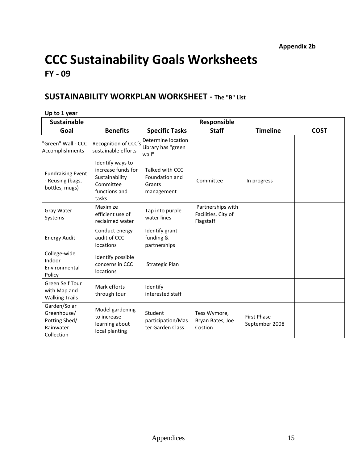### <span id="page-17-0"></span>**SUSTAINABILITY WORKPLAN WORKSHEET - The "B" List**

<span id="page-17-1"></span>

| Up to 1 year                                                            |                                                                                                 |                                                           |                                                       |                                      |             |
|-------------------------------------------------------------------------|-------------------------------------------------------------------------------------------------|-----------------------------------------------------------|-------------------------------------------------------|--------------------------------------|-------------|
| <b>Sustainable</b>                                                      |                                                                                                 |                                                           | Responsible                                           |                                      |             |
| Goal                                                                    | <b>Benefits</b>                                                                                 | <b>Specific Tasks</b>                                     | <b>Staff</b>                                          | <b>Timeline</b>                      | <b>COST</b> |
| "Green" Wall - CCC<br>Accomplishments                                   | Recognition of CCC's<br>sustainable efforts                                                     | Determine location<br>Library has "green<br>wall"         |                                                       |                                      |             |
| <b>Fundraising Event</b><br>- Reusing (bags,<br>bottles, mugs)          | Identify ways to<br>increase funds for<br>Sustainability<br>Committee<br>functions and<br>tasks | Talked with CCC<br>Foundation and<br>Grants<br>management | Committee                                             | In progress                          |             |
| Gray Water<br>Systems                                                   | Maximize<br>efficient use of<br>reclaimed water                                                 | Tap into purple<br>water lines                            | Partnerships with<br>Facilities, City of<br>Flagstaff |                                      |             |
| <b>Energy Audit</b>                                                     | Conduct energy<br>audit of CCC<br>locations                                                     | Identify grant<br>funding &<br>partnerships               |                                                       |                                      |             |
| College-wide<br>Indoor<br>Environmental<br>Policy                       | Identify possible<br>concerns in CCC<br>locations                                               | Strategic Plan                                            |                                                       |                                      |             |
| Green Self Tour<br>with Map and<br><b>Walking Trails</b>                | Mark efforts<br>through tour                                                                    | Identify<br>interested staff                              |                                                       |                                      |             |
| Garden/Solar<br>Greenhouse/<br>Potting Shed/<br>Rainwater<br>Collection | Model gardening<br>to increase<br>learning about<br>local planting                              | Student<br>participation/Mas<br>ter Garden Class          | Tess Wymore,<br>Bryan Bates, Joe<br>Costion           | <b>First Phase</b><br>September 2008 |             |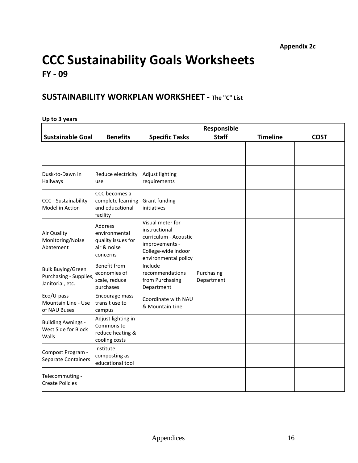### <span id="page-18-0"></span>**SUSTAINABILITY WORKPLAN WORKSHEET - The "C" List**

#### <span id="page-18-1"></span>**Up to 3 years**

|                                                                        | Responsible                                                                      |                                                                                                                              |                          |                 |             |  |
|------------------------------------------------------------------------|----------------------------------------------------------------------------------|------------------------------------------------------------------------------------------------------------------------------|--------------------------|-----------------|-------------|--|
| <b>Sustainable Goal</b>                                                | <b>Benefits</b>                                                                  | <b>Specific Tasks</b>                                                                                                        | <b>Staff</b>             | <b>Timeline</b> | <b>COST</b> |  |
|                                                                        |                                                                                  |                                                                                                                              |                          |                 |             |  |
| Dusk-to-Dawn in<br><b>Hallways</b>                                     | Reduce electricity<br>use                                                        | Adjust lighting<br>requirements                                                                                              |                          |                 |             |  |
| CCC - Sustainability<br>Model in Action                                | CCC becomes a<br>complete learning<br>and educational<br>facility                | <b>Grant funding</b><br>initiatives                                                                                          |                          |                 |             |  |
| Air Quality<br>Monitoring/Noise<br>Abatement                           | <b>Address</b><br>environmental<br>quality issues for<br>air & noise<br>concerns | Visual meter for<br>linstructional<br>curriculum - Acoustic<br>improvements -<br>College-wide indoor<br>environmental policy |                          |                 |             |  |
| <b>Bulk Buying/Green</b><br>Purchasing - Supplies,<br>Janitorial, etc. | <b>Benefit from</b><br>economies of<br>scale, reduce<br>purchases                | Include<br><b>Irecommendations</b><br>from Purchasing<br>Department                                                          | Purchasing<br>Department |                 |             |  |
| Eco/U-pass -<br>Mountain Line - Use<br>of NAU Buses                    | Encourage mass<br>transit use to<br>campus                                       | Coordinate with NAU<br>& Mountain Line                                                                                       |                          |                 |             |  |
| <b>Building Awnings -</b><br>West Side for Block<br>Walls              | Adjust lighting in<br>Commons to<br>reduce heating &<br>cooling costs            |                                                                                                                              |                          |                 |             |  |
| Compost Program -<br>Separate Containers                               | Institute<br>composting as<br>educational tool                                   |                                                                                                                              |                          |                 |             |  |
| Telecommuting -<br><b>Create Policies</b>                              |                                                                                  |                                                                                                                              |                          |                 |             |  |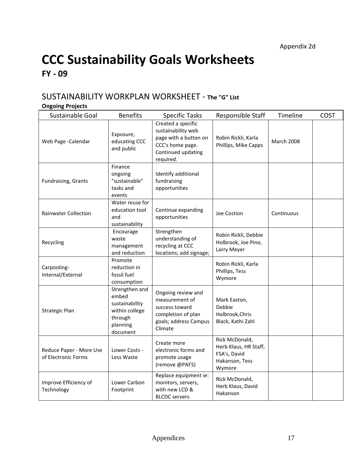### <span id="page-19-0"></span>SUSTAINABILITY WORKPLAN WORKSHEET - The "G" List

### <span id="page-19-1"></span>**Ongoing Projects**

| Sustainable Goal                               | <b>Benefits</b>                                                                                | <b>Specific Tasks</b>                                                                                                    | Responsible Staff                                                                   | Timeline          | <b>COST</b> |
|------------------------------------------------|------------------------------------------------------------------------------------------------|--------------------------------------------------------------------------------------------------------------------------|-------------------------------------------------------------------------------------|-------------------|-------------|
| Web Page - Calendar                            | Exposure,<br>educating CCC<br>and public                                                       | Created a specific<br>sustainability web<br>page with a button on<br>CCC's home page.<br>Continued updating<br>required. | Robin Rickli, Karla<br>Phillips, Mike Capps                                         | <b>March 2008</b> |             |
| Fundraising, Grants                            | Finance<br>ongoing<br>"sustainable"<br>tasks and<br>events                                     | Identify additional<br>fundraising<br>opportunities                                                                      |                                                                                     |                   |             |
| <b>Rainwater Collection</b>                    | Water reuse for<br>education tool<br>and<br>sustainability                                     | Continue expanding<br>opportunities                                                                                      | Joe Costion                                                                         | Continuous        |             |
| Recycling                                      | Encourage<br>waste<br>management<br>and reduction                                              | Strengthen<br>understanding of<br>recycling at CCC<br>locations; add signage;                                            | Robin Rickli, Debbie<br>Holbrook, Joe Pino,<br>Larry Meyer                          |                   |             |
| Carpooling-<br>Internal/External               | Promote<br>reduction in<br>fossil fuel<br>consumption                                          |                                                                                                                          | Robin Rickli, Karla<br>Phillips, Tess<br>Wymore                                     |                   |             |
| <b>Strategic Plan</b>                          | Strengthen and<br>embed<br>sustainability<br>within college<br>through<br>planning<br>document | Ongoing review and<br>measurement of<br>success toward<br>completion of plan<br>goals; address Campus<br>Climate         | Mark Easton,<br>Debbie<br>Holbrook, Chris<br>Black, Kathi Zahl                      |                   |             |
| Reduce Paper - More Use<br>of Electronic Forms | Lower Costs -<br>Less Waste                                                                    | Create more<br>electronic forms and<br>promote usage<br>(remove @PAFS)                                                   | Rick McDonald,<br>Herb Klaus, HR Staff,<br>FSA's, David<br>Hakanson, Tess<br>Wymore |                   |             |
| Improve Efficiency of<br>Technology            | Lower Carbon<br>Footprint                                                                      | Replace equipment ie:<br>monitors, servers,<br>with new LCD &<br><b>BLCDC</b> servers                                    | Rick McDonald,<br>Herb Klaus, David<br>Hakanson                                     |                   |             |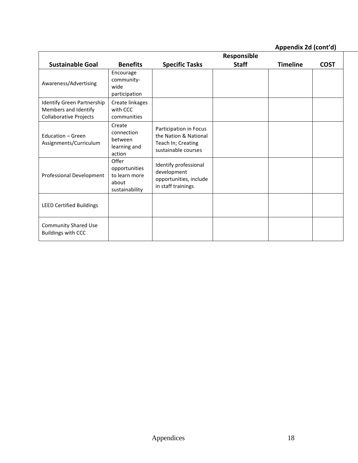**Appendix 2d (cont'd)**

|                                                                                     |                                                                    | Responsible                                                                                  |              |                 |             |  |
|-------------------------------------------------------------------------------------|--------------------------------------------------------------------|----------------------------------------------------------------------------------------------|--------------|-----------------|-------------|--|
| <b>Sustainable Goal</b>                                                             | <b>Benefits</b>                                                    | <b>Specific Tasks</b>                                                                        | <b>Staff</b> | <b>Timeline</b> | <b>COST</b> |  |
| Awareness/Advertising                                                               | Encourage<br>community-<br>wide<br>participation                   |                                                                                              |              |                 |             |  |
| Identify Green Partnership<br>Members and Identify<br><b>Collaborative Projects</b> | Create linkages<br>with CCC<br>communities                         |                                                                                              |              |                 |             |  |
| Education - Green<br>Assignments/Curriculum                                         | Create<br>connection<br>between<br>learning and<br>action          | Participation in Focus<br>the Nation & National<br>Teach In; Creating<br>sustainable courses |              |                 |             |  |
| Professional Development                                                            | Offer<br>opportunities<br>to learn more<br>about<br>sustainability | Identify professional<br>development<br>opportunities, include<br>in staff trainings         |              |                 |             |  |
| <b>LEED Certified Buildings</b>                                                     |                                                                    |                                                                                              |              |                 |             |  |
| <b>Community Shared Use</b><br><b>Buildings with CCC</b>                            |                                                                    |                                                                                              |              |                 |             |  |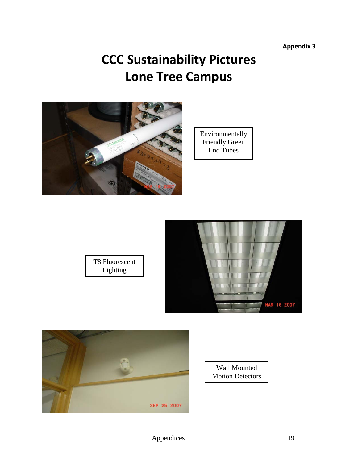**Appendix 3**

# **CCC Sustainability Pictures Lone Tree Campus**

<span id="page-21-0"></span>





T8 Fluorescent Lighting



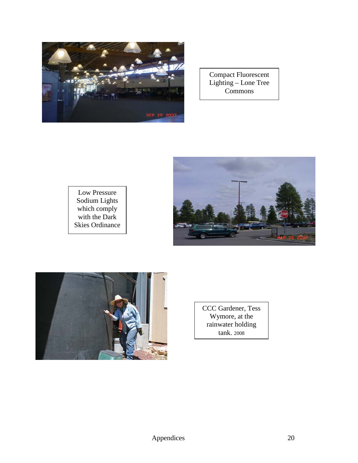

Compact Fluorescent Lighting – Lone Tree Commons







CCC Gardener, Tess Wymore, at the rainwater holding tank. 2008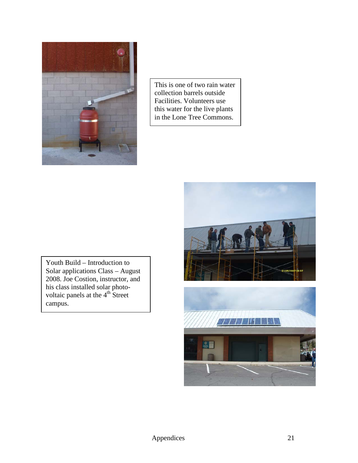

This is one of two rain water collection barrels outside Facilities. Volunteers use this water for the live plants in the Lone Tree Commons.

Youth Build – Introduction to Solar applications Class – August 2008. Joe Costion, instructor, and his class installed solar photovoltaic panels at the 4<sup>th</sup> Street campus.

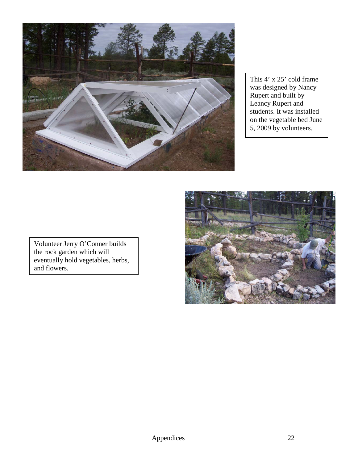

This 4' x 25' cold frame was designed by Nancy Rupert and built by Leancy Rupert and students. It was installed on the vegetable bed June 5, 2009 by volunteers.



Volunteer Jerry O'Conner builds the rock garden which will eventually hold vegetables, herbs, and flowers.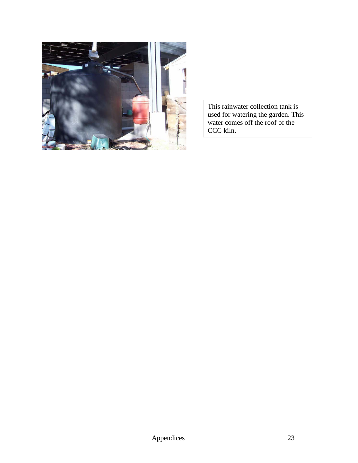

This rainwater collection tank is used for watering the garden. This water comes off the roof of the CCC kiln.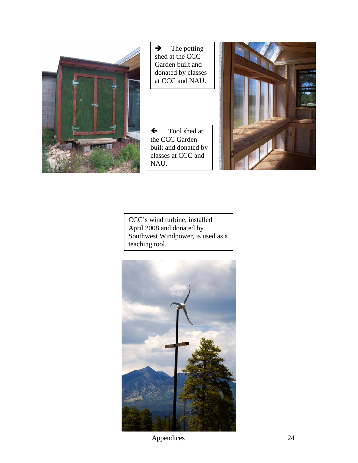

 $\rightarrow$  The potting shed at the CCC Garden built and donated by classes at CCC and NAU.

 Tool shed at the CCC Garden built and donated by classes at CCC and NAU.



CCC's wind turbine, installed April 2008 and donated by Southwest Windpower, is used as a teaching tool.



Appendices 24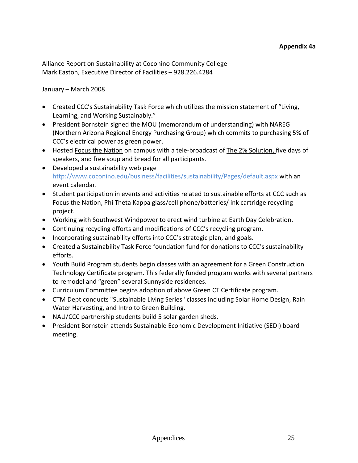Alliance Report on Sustainability at Coconino Community College Mark Easton, Executive Director of Facilities – 928.226.4284

#### January – March 2008

- Created CCC's Sustainability Task Force which utilizes the mission statement of "Living, Learning, and Working Sustainably."
- President Bornstein signed the MOU (memorandum of understanding) with NAREG (Northern Arizona Regional Energy Purchasing Group) which commits to purchasing 5% of CCC's electrical power as green power.
- Hosted Focus the Nation on campus with a tele-broadcast of The 2% Solution, five days of speakers, and free soup and bread for all participants.
- Developed a sustainability web page http://www.coconino.edu/business/facilities/sustainability/Pages/default.aspx with an event calendar.
- Student participation in events and activities related to sustainable efforts at CCC such as Focus the Nation, Phi Theta Kappa glass/cell phone/batteries/ ink cartridge recycling project.
- Working with Southwest Windpower to erect wind turbine at Earth Day Celebration.
- Continuing recycling efforts and modifications of CCC's recycling program.
- Incorporating sustainability efforts into CCC's strategic plan, and goals.
- Created a Sustainability Task Force foundation fund for donations to CCC's sustainability efforts.
- Youth Build Program students begin classes with an agreement for a Green Construction Technology Certificate program. This federally funded program works with several partners to remodel and "green" several Sunnyside residences.
- Curriculum Committee begins adoption of above Green CT Certificate program.
- CTM Dept conducts "Sustainable Living Series" classes including Solar Home Design, Rain Water Harvesting, and Intro to Green Building.
- NAU/CCC partnership students build 5 solar garden sheds.
- President Bornstein attends Sustainable Economic Development Initiative (SEDI) board meeting.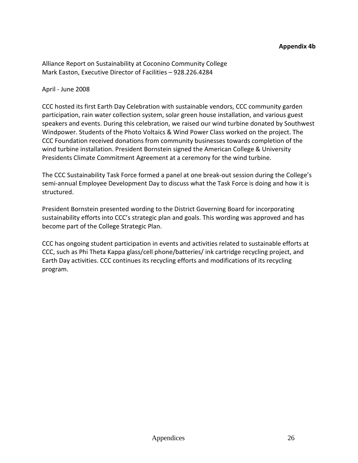#### **Appendix 4b**

Alliance Report on Sustainability at Coconino Community College Mark Easton, Executive Director of Facilities – 928.226.4284

April - June 2008

CCC hosted its first Earth Day Celebration with sustainable vendors, CCC community garden participation, rain water collection system, solar green house installation, and various guest speakers and events. During this celebration, we raised our wind turbine donated by Southwest Windpower. Students of the Photo Voltaics & Wind Power Class worked on the project. The CCC Foundation received donations from community businesses towards completion of the wind turbine installation. President Bornstein signed the American College & University Presidents Climate Commitment Agreement at a ceremony for the wind turbine.

The CCC Sustainability Task Force formed a panel at one break-out session during the College's semi-annual Employee Development Day to discuss what the Task Force is doing and how it is structured.

President Bornstein presented wording to the District Governing Board for incorporating sustainability efforts into CCC's strategic plan and goals. This wording was approved and has become part of the College Strategic Plan.

CCC has ongoing student participation in events and activities related to sustainable efforts at CCC, such as Phi Theta Kappa glass/cell phone/batteries/ ink cartridge recycling project, and Earth Day activities. CCC continues its recycling efforts and modifications of its recycling program.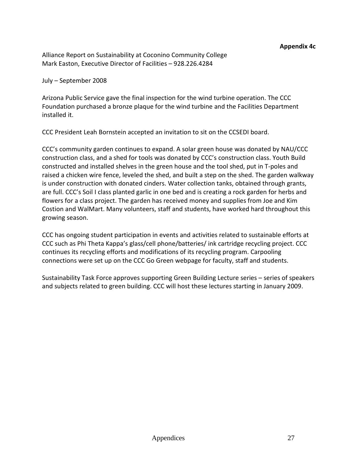Alliance Report on Sustainability at Coconino Community College Mark Easton, Executive Director of Facilities – 928.226.4284

July – September 2008

Arizona Public Service gave the final inspection for the wind turbine operation. The CCC Foundation purchased a bronze plaque for the wind turbine and the Facilities Department installed it.

CCC President Leah Bornstein accepted an invitation to sit on the CCSEDI board.

CCC's community garden continues to expand. A solar green house was donated by NAU/CCC construction class, and a shed for tools was donated by CCC's construction class. Youth Build constructed and installed shelves in the green house and the tool shed, put in T-poles and raised a chicken wire fence, leveled the shed, and built a step on the shed. The garden walkway is under construction with donated cinders. Water collection tanks, obtained through grants, are full. CCC's Soil I class planted garlic in one bed and is creating a rock garden for herbs and flowers for a class project. The garden has received money and supplies from Joe and Kim Costion and WalMart. Many volunteers, staff and students, have worked hard throughout this growing season.

CCC has ongoing student participation in events and activities related to sustainable efforts at CCC such as Phi Theta Kappa's glass/cell phone/batteries/ ink cartridge recycling project. CCC continues its recycling efforts and modifications of its recycling program. Carpooling connections were set up on the CCC Go Green webpage for faculty, staff and students.

Sustainability Task Force approves supporting Green Building Lecture series – series of speakers and subjects related to green building. CCC will host these lectures starting in January 2009.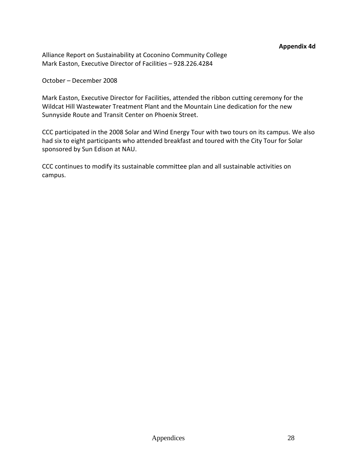#### **Appendix 4d**

Alliance Report on Sustainability at Coconino Community College Mark Easton, Executive Director of Facilities – 928.226.4284

#### October – December 2008

Mark Easton, Executive Director for Facilities, attended the ribbon cutting ceremony for the Wildcat Hill Wastewater Treatment Plant and the Mountain Line dedication for the new Sunnyside Route and Transit Center on Phoenix Street.

CCC participated in the 2008 Solar and Wind Energy Tour with two tours on its campus. We also had six to eight participants who attended breakfast and toured with the City Tour for Solar sponsored by Sun Edison at NAU.

CCC continues to modify its sustainable committee plan and all sustainable activities on campus.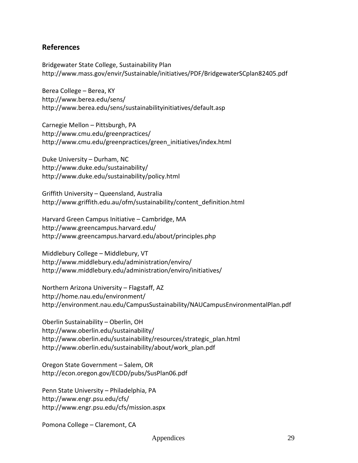#### <span id="page-31-0"></span>**References**

Bridgewater State College, Sustainability Plan <http://www.mass.gov/envir/Sustainable/initiatives/PDF/BridgewaterSCplan82405.pdf>

Berea College – Berea, KY <http://www.berea.edu/sens/> <http://www.berea.edu/sens/sustainabilityinitiatives/default.asp>

Carnegie Mellon – Pittsburgh, PA <http://www.cmu.edu/greenpractices/> [http://www.cmu.edu/greenpractices/green\\_initiatives/index.html](http://www.cmu.edu/greenpractices/green_initiatives/index.html)

Duke University – Durham, NC <http://www.duke.edu/sustainability/> <http://www.duke.edu/sustainability/policy.html>

Griffith University – Queensland, Australia [http://www.griffith.edu.au/ofm/sustainability/content\\_definition.html](http://www.griffith.edu.au/ofm/sustainability/content_definition.html)

Harvard Green Campus Initiative – Cambridge, MA <http://www.greencampus.harvard.edu/> <http://www.greencampus.harvard.edu/about/principles.php>

Middlebury College – Middlebury, VT <http://www.middlebury.edu/administration/enviro/> <http://www.middlebury.edu/administration/enviro/initiatives/>

Northern Arizona University – Flagstaff, AZ <http://home.nau.edu/environment/> <http://environment.nau.edu/CampusSustainability/NAUCampusEnvironmentalPlan.pdf>

Oberlin Sustainability – Oberlin, OH <http://www.oberlin.edu/sustainability/> [http://www.oberlin.edu/sustainability/resources/strategic\\_plan.html](http://www.oberlin.edu/sustainability/resources/strategic_plan.html) [http://www.oberlin.edu/sustainability/about/work\\_plan.pdf](http://www.oberlin.edu/sustainability/about/work_plan.pdf)

Oregon State Government – Salem, OR <http://econ.oregon.gov/ECDD/pubs/SusPlan06.pdf>

Penn State University – Philadelphia, PA <http://www.engr.psu.edu/cfs/> <http://www.engr.psu.edu/cfs/mission.aspx>

Pomona College – Claremont, CA